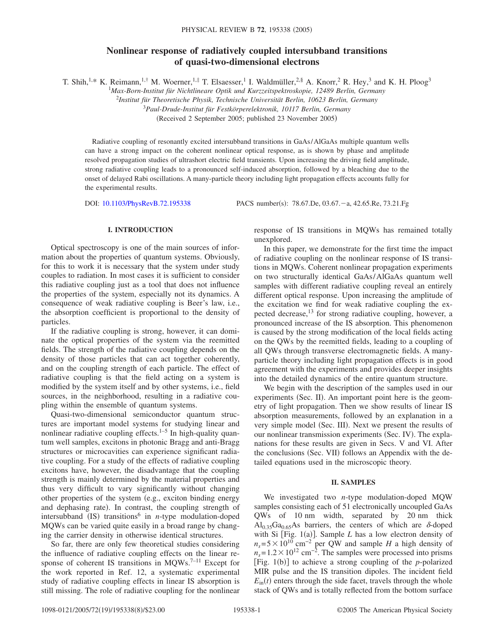# **Nonlinear response of radiatively coupled intersubband transitions of quasi-two-dimensional electrons**

T. Shih,<sup>1,\*</sup> K. Reimann,<sup>1,†</sup> M. Woerner,<sup>1,‡</sup> T. Elsaesser,<sup>1</sup> I. Waldmüller,<sup>2,§</sup> A. Knorr,<sup>2</sup> R. Hey,<sup>3</sup> and K. H. Ploog<sup>3</sup>

<sup>1</sup>*Max-Born-Institut für Nichtlineare Optik und Kurzzeitspektroskopie, 12489 Berlin, Germany*

2 *Institut für Theoretische Physik, Technische Universität Berlin, 10623 Berlin, Germany*

<sup>3</sup>*Paul-Drude-Institut für Festkörperelektronik, 10117 Berlin, Germany*

(Received 2 September 2005; published 23 November 2005)

Radiative coupling of resonantly excited intersubband transitions in GaAs/AlGaAs multiple quantum wells can have a strong impact on the coherent nonlinear optical response, as is shown by phase and amplitude resolved propagation studies of ultrashort electric field transients. Upon increasing the driving field amplitude, strong radiative coupling leads to a pronounced self-induced absorption, followed by a bleaching due to the onset of delayed Rabi oscillations. A many-particle theory including light propagation effects accounts fully for the experimental results.

DOI: [10.1103/PhysRevB.72.195338](http://dx.doi.org/10.1103/PhysRevB.72.195338)

PACS number(s): 78.67.De, 03.67. - a, 42.65.Re, 73.21.Fg

## **I. INTRODUCTION**

Optical spectroscopy is one of the main sources of information about the properties of quantum systems. Obviously, for this to work it is necessary that the system under study couples to radiation. In most cases it is sufficient to consider this radiative coupling just as a tool that does not influence the properties of the system, especially not its dynamics. A consequence of weak radiative coupling is Beer's law, i.e., the absorption coefficient is proportional to the density of particles.

If the radiative coupling is strong, however, it can dominate the optical properties of the system via the reemitted fields. The strength of the radiative coupling depends on the density of those particles that can act together coherently, and on the coupling strength of each particle. The effect of radiative coupling is that the field acting on a system is modified by the system itself and by other systems, i.e., field sources, in the neighborhood, resulting in a radiative coupling within the ensemble of quantum systems.

Quasi-two-dimensional semiconductor quantum structures are important model systems for studying linear and nonlinear radiative coupling effects. $1-5$  In high-quality quantum well samples, excitons in photonic Bragg and anti-Bragg structures or microcavities can experience significant radiative coupling. For a study of the effects of radiative coupling excitons have, however, the disadvantage that the coupling strength is mainly determined by the material properties and thus very difficult to vary significantly without changing other properties of the system (e.g., exciton binding energy and dephasing rate). In contrast, the coupling strength of intersubband  $(IS)$  transitions<sup>6</sup> in *n*-type modulation-doped MQWs can be varied quite easily in a broad range by changing the carrier density in otherwise identical structures.

So far, there are only few theoretical studies considering the influence of radiative coupling effects on the linear response of coherent IS transitions in MQWs.<sup>7-11</sup> Except for the work reported in Ref. 12, a systematic experimental study of radiative coupling effects in linear IS absorption is still missing. The role of radiative coupling for the nonlinear

response of IS transitions in MQWs has remained totally unexplored.

In this paper, we demonstrate for the first time the impact of radiative coupling on the nonlinear response of IS transitions in MQWs. Coherent nonlinear propagation experiments on two structurally identical GaAs/AlGaAs quantum well samples with different radiative coupling reveal an entirely different optical response. Upon increasing the amplitude of the excitation we find for weak radiative coupling the expected decrease, $^{13}$  for strong radiative coupling, however, a pronounced increase of the IS absorption. This phenomenon is caused by the strong modification of the local fields acting on the QWs by the reemitted fields, leading to a coupling of all QWs through transverse electromagnetic fields. A manyparticle theory including light propagation effects is in good agreement with the experiments and provides deeper insights into the detailed dynamics of the entire quantum structure.

We begin with the description of the samples used in our experiments (Sec. II). An important point here is the geometry of light propagation. Then we show results of linear IS absorption measurements, followed by an explanation in a very simple model (Sec. III). Next we present the results of our nonlinear transmission experiments (Sec. IV). The explanations for these results are given in Secs. V and VI. After the conclusions (Sec. VII) follows an Appendix with the detailed equations used in the microscopic theory.

### **II. SAMPLES**

We investigated two *n*-type modulation-doped MQW samples consisting each of 51 electronically uncoupled GaAs QWs of 10 nm width, separated by 20 nm thick  $\text{Al}_{0.35}\text{Ga}_{0.65}\text{As}$  barriers, the centers of which are  $\delta$ -doped with Si [Fig.  $1(a)$ ]. Sample *L* has a low electron density of  $n_s$ =5×10<sup>10</sup> cm<sup>-2</sup> per QW and sample *H* a high density of  $n<sub>s</sub>=1.2\times10^{12}$  cm<sup>-2</sup>. The samples were processed into prisms [Fig.  $1(b)$ ] to achieve a strong coupling of the *p*-polarized MIR pulse and the IS transition dipoles. The incident field  $E_{\text{in}}(t)$  enters through the side facet, travels through the whole stack of QWs and is totally reflected from the bottom surface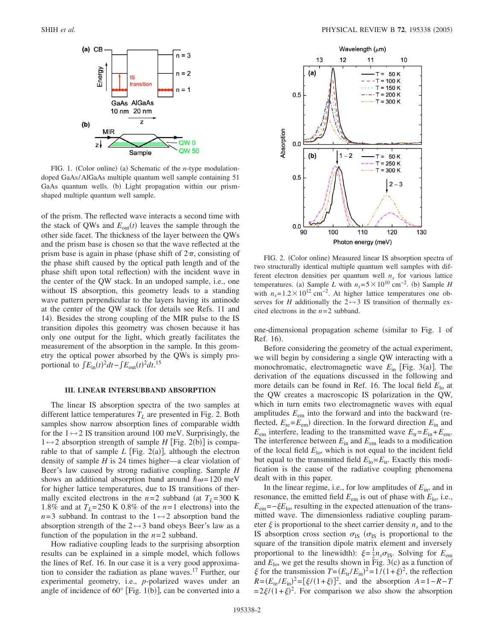

FIG. 1. (Color online) (a) Schematic of the *n*-type modulationdoped GaAs/AlGaAs multiple quantum well sample containing 51 GaAs quantum wells. (b) Light propagation within our prismshaped multiple quantum well sample.

of the prism. The reflected wave interacts a second time with the stack of QWs and  $E_{\text{out}}(t)$  leaves the sample through the other side facet. The thickness of the layer between the QWs and the prism base is chosen so that the wave reflected at the prism base is again in phase (phase shift of  $2\pi$ , consisting of the phase shift caused by the optical path length and of the phase shift upon total reflection) with the incident wave in the center of the QW stack. In an undoped sample, i.e., one without IS absorption, this geometry leads to a standing wave pattern perpendicular to the layers having its antinode at the center of the QW stack for details see Refs. 11 and 14). Besides the strong coupling of the MIR pulse to the IS transition dipoles this geometry was chosen because it has only one output for the light, which greatly facilitates the measurement of the absorption in the sample. In this geometry the optical power absorbed by the QWs is simply proportional to  $\int E_{\text{in}}(t)^2 dt - \int E_{\text{out}}(t)^2 dt$ .<sup>15</sup>

### **III. LINEAR INTERSUBBAND ABSORPTION**

The linear IS absorption spectra of the two samples at different lattice temperatures  $T_L$  are presented in Fig. 2. Both samples show narrow absorption lines of comparable width for the  $1 \leftrightarrow 2$  IS transition around 100 meV. Surprisingly, the  $1 \leftrightarrow 2$  absorption strength of sample *H* [Fig. 2(b)] is comparable to that of sample  $L$  [Fig. 2(a)], although the electron density of sample *H* is 24 times higher—a clear violation of Beer's law caused by strong radiative coupling. Sample *H* shows an additional absorption band around  $\hbar \omega = 120$  meV for higher lattice temperatures, due to IS transitions of thermally excited electrons in the  $n=2$  subband (at  $T_L$ =300 K 1.8% and at  $T_L$ =250 K 0.8% of the  $n=1$  electrons) into the  $n=3$  subband. In contrast to the  $1 \leftrightarrow 2$  absorption band the absorption strength of the  $2 \leftrightarrow 3$  band obeys Beer's law as a function of the population in the *n*=2 subband.

How radiative coupling leads to the surprising absorption results can be explained in a simple model, which follows the lines of Ref. 16. In our case it is a very good approximation to consider the radiation as plane waves.<sup>17</sup> Further, our experimental geometry, i.e., *p*-polarized waves under an angle of incidence of  $60^{\circ}$  [Fig. 1(b)], can be converted into a



FIG. 2. (Color online) Measured linear IS absorption spectra of two structurally identical multiple quantum well samples with different electron densities per quantum well  $n<sub>s</sub>$  for various lattice temperatures. (a) Sample *L* with  $n_s = 5 \times 10^{10} \text{ cm}^{-2}$ . (b) Sample *H* with  $n_s$ =1.2×10<sup>12</sup> cm<sup>-2</sup>. At higher lattice temperatures one observes for *H* additionally the  $2 \leftrightarrow 3$  IS transition of thermally excited electrons in the *n*=2 subband.

one-dimensional propagation scheme (similar to Fig. 1 of Ref. 16).

Before considering the geometry of the actual experiment, we will begin by considering a single QW interacting with a monochromatic, electromagnetic wave  $E_{\text{in}}$  [Fig. 3(a)]. The derivation of the equations discussed in the following and more details can be found in Ref. 16. The local field  $E_{\text{lo}}$  at the QW creates a macroscopic IS polarization in the QW, which in turn emits two electromagnetic waves with equal amplitudes  $E_{\text{em}}$  into the forward and into the backward (reflected,  $E_{\text{re}} = E_{\text{em}}$ ) direction. In the forward direction  $E_{\text{in}}$  and  $E_{\text{em}}$  interfere, leading to the transmitted wave  $E_{\text{tr}}=E_{\text{in}}+E_{\text{em}}$ . The interference between  $E_{\text{in}}$  and  $E_{\text{em}}$  leads to a modification of the local field  $E_{\text{lo}}$ , which is not equal to the incident field but equal to the transmitted field  $E_{\text{lo}}=E_{\text{tr}}$ . Exactly this modification is the cause of the radiative coupling phenomena dealt with in this paper.

In the linear regime, i.e., for low amplitudes of  $E_{\text{in}}$ , and in resonance, the emitted field  $E_{\text{em}}$  is out of phase with  $E_{\text{lo}}$ , i.e.,  $E_{em}$ =− $\zeta E_{\text{lo}}$ , resulting in the expected attenuation of the transmitted wave. The dimensionless radiative coupling parameter  $\xi$  is proportional to the sheet carrier density  $n_s$  and to the IS absorption cross section  $\sigma_{IS}$  ( $\sigma_{IS}$  is proportional to the square of the transition dipole matrix element and inversely proportional to the linewidth):  $\xi = \frac{1}{2} n_s \sigma_{\text{IS}}$ . Solving for  $E_{\text{em}}$ and  $E_{\text{lo}}$ , we get the results shown in Fig. 3(c) as a function of  $\zeta$  for the transmission  $T = (E_{tr}/E_{in})^2 = 1/(1+\xi)^2$ , the reflection  $R = (E_{\text{re}}/E_{\text{in}})^2 = [\xi/(1+\xi)]^2$ , and the absorption *A*=1−*R*−*T*  $=2\xi/(1+\xi)^2$ . For comparison we also show the absorption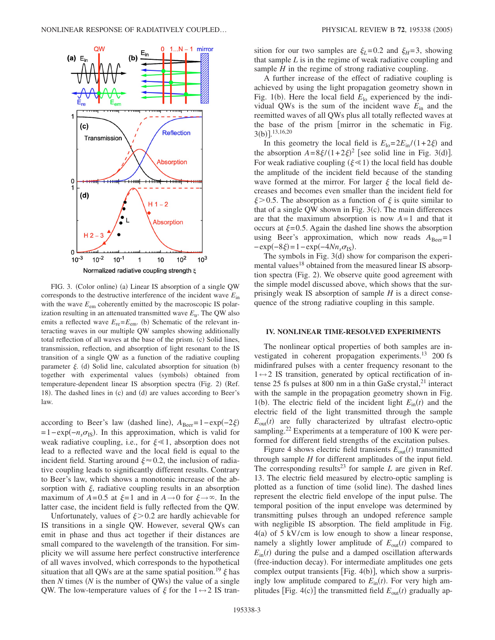

FIG. 3. (Color online) (a) Linear IS absorption of a single QW corresponds to the destructive interference of the incident wave *E*in with the wave  $E_{\text{em}}$  coherently emitted by the macroscopic IS polarization resulting in an attenuated transmitted wave  $E_{tr}$ . The QW also emits a reflected wave  $E_{\text{re}} = E_{\text{em}}$ . (b) Schematic of the relevant interacting waves in our multiple QW samples showing additionally total reflection of all waves at the base of the prism. (c) Solid lines, transmission, reflection, and absorption of light resonant to the IS transition of a single QW as a function of the radiative coupling parameter  $\xi$ . (d) Solid line, calculated absorption for situation (b) together with experimental values (symbols) obtained from temperature-dependent linear IS absorption spectra (Fig. 2) (Ref. 18). The dashed lines in (c) and (d) are values according to Beer's law.

according to Beer's law (dashed line),  $A_{\text{Beer}}=1-\exp(-2\xi)$  $=1-\exp(-n_s\sigma_{IS})$ . In this approximation, which is valid for weak radiative coupling, i.e., for  $\xi \ll 1$ , absorption does not lead to a reflected wave and the local field is equal to the incident field. Starting around  $\xi \approx 0.2$ , the inclusion of radiative coupling leads to significantly different results. Contrary to Beer's law, which shows a monotonic increase of the absorption with  $\xi$ , radiative coupling results in an absorption maximum of *A*=0.5 at  $\xi=1$  and in *A*  $\rightarrow$  0 for  $\xi \rightarrow \infty$ . In the latter case, the incident field is fully reflected from the QW.

Unfortunately, values of  $\xi > 0.2$  are hardly achievable for IS transitions in a single QW. However, several QWs can emit in phase and thus act together if their distances are small compared to the wavelength of the transition. For simplicity we will assume here perfect constructive interference of all waves involved, which corresponds to the hypothetical situation that all QWs are at the same spatial position.<sup>19</sup>  $\xi$  has then  $N$  times ( $N$  is the number of QWs) the value of a single QW. The low-temperature values of  $\xi$  for the  $1 \leftrightarrow 2$  IS transition for our two samples are  $\xi_l$  =0.2 and  $\xi_{\rm H}$  =3, showing that sample *L* is in the regime of weak radiative coupling and sample *H* in the regime of strong radiative coupling.

A further increase of the effect of radiative coupling is achieved by using the light propagation geometry shown in Fig. 1(b). Here the local field  $E_{\text{lo}}$  experienced by the individual QWs is the sum of the incident wave  $E_{\text{in}}$  and the reemitted waves of all QWs plus all totally reflected waves at the base of the prism [mirror in the schematic in Fig.  $3(b)$ ].<sup>13,16,20</sup>

In this geometry the local field is  $E_{10} = 2E_{\text{in}} / (1+2\xi)$  and the absorption  $A = 8 \xi/(1+2\xi)^2$  [see solid line in Fig. 3(d)]. For weak radiative coupling  $(\xi \leq 1)$  the local field has double the amplitude of the incident field because of the standing wave formed at the mirror. For larger  $\xi$  the local field decreases and becomes even smaller than the incident field for  $\xi$  > 0.5. The absorption as a function of  $\xi$  is quite similar to that of a single QW shown in Fig.  $3(c)$ . The main differences are that the maximum absorption is now  $A=1$  and that it occurs at  $\xi$ =0.5. Again the dashed line shows the absorption using Beer's approximation, which now reads  $A_{\text{Beer}} = 1$  $-\exp(-8\xi) = 1 - \exp(-4Nn_s\sigma_{IS}).$ 

The symbols in Fig.  $3(d)$  show for comparison the experimental values<sup>18</sup> obtained from the measured linear IS absorption spectra (Fig. 2). We observe quite good agreement with the simple model discussed above, which shows that the surprisingly weak IS absorption of sample *H* is a direct consequence of the strong radiative coupling in this sample.

#### **IV. NONLINEAR TIME-RESOLVED EXPERIMENTS**

The nonlinear optical properties of both samples are investigated in coherent propagation experiments.13 200 fs midinfrared pulses with a center frequency resonant to the  $1 \leftrightarrow 2$  IS transition, generated by optical rectification of intense 25 fs pulses at 800 nm in a thin GaSe crystal, $^{21}$  interact with the sample in the propagation geometry shown in Fig. 1(b). The electric field of the incident light  $E_{\text{in}}(t)$  and the electric field of the light transmitted through the sample  $E_{\text{out}}(t)$  are fully characterized by ultrafast electro-optic sampling.<sup>22</sup> Experiments at a temperature of 100 K were performed for different field strengths of the excitation pulses.

Figure 4 shows electric field transients  $E_{\text{out}}(t)$  transmitted through sample *H* for different amplitudes of the input field. The corresponding results<sup>23</sup> for sample  $L$  are given in Ref. 13. The electric field measured by electro-optic sampling is plotted as a function of time (solid line). The dashed lines represent the electric field envelope of the input pulse. The temporal position of the input envelope was determined by transmitting pulses through an undoped reference sample with negligible IS absorption. The field amplitude in Fig. 4(a) of 5 kV/cm is low enough to show a linear response, namely a slightly lower amplitude of  $E_{\text{out}}(t)$  compared to  $E_{\text{in}}(t)$  during the pulse and a damped oscillation afterwards (free-induction decay). For intermediate amplitudes one gets complex output transients [Fig. 4(b)], which show a surprisingly low amplitude compared to  $E_{\text{in}}(t)$ . For very high amplitudes [Fig.  $4(c)$ ] the transmitted field  $E_{out}(t)$  gradually ap-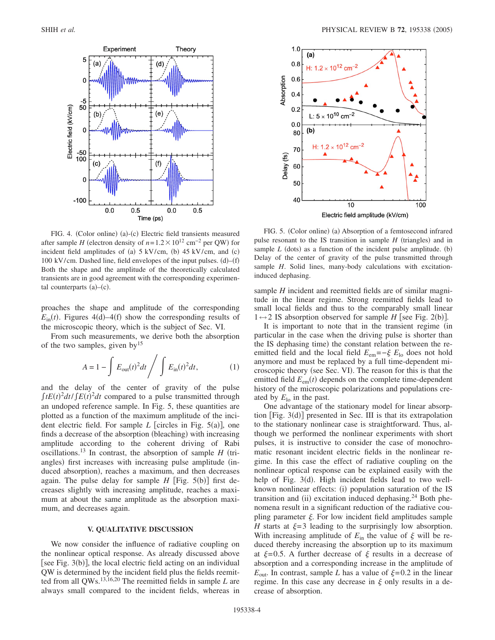

FIG. 4. (Color online) (a)-(c) Electric field transients measured after sample *H* (electron density of  $n = 1.2 \times 10^{12}$  cm<sup>-2</sup> per QW) for incident field amplitudes of (a)  $5 \frac{\text{kV}}{\text{cm}}$ , (b)  $45 \frac{\text{kV}}{\text{cm}}$ , and (c) 100 kV/cm. Dashed line, field envelopes of the input pulses.  $(d)$ – $(f)$ Both the shape and the amplitude of the theoretically calculated transients are in good agreement with the corresponding experimen $t$ al counterparts  $(a)$ - $(c)$ .

proaches the shape and amplitude of the corresponding  $E_{\text{in}}(t)$ . Figures 4(d)–4(f) show the corresponding results of the microscopic theory, which is the subject of Sec. VI.

From such measurements, we derive both the absorption of the two samples, given by  $15$ 

$$
A = 1 - \int E_{\text{out}}(t)^2 dt / \int E_{\text{in}}(t)^2 dt,
$$
 (1)

and the delay of the center of gravity of the pulse  $\int tE(t)^2 dt$  /  $\int E(t)^2 dt$  compared to a pulse transmitted through an undoped reference sample. In Fig. 5, these quantities are plotted as a function of the maximum amplitude of the incident electric field. For sample  $L$  [circles in Fig.  $5(a)$ ], one finds a decrease of the absorption (bleaching) with increasing amplitude according to the coherent driving of Rabi oscillations.<sup>13</sup> In contrast, the absorption of sample  $H$  (triangles) first increases with increasing pulse amplitude (induced absorption), reaches a maximum, and then decreases again. The pulse delay for sample  $H$  [Fig. 5(b)] first decreases slightly with increasing amplitude, reaches a maximum at about the same amplitude as the absorption maximum, and decreases again.

### **V. QUALITATIVE DISCUSSION**

We now consider the influence of radiative coupling on the nonlinear optical response. As already discussed above [see Fig. 3(b)], the local electric field acting on an individual QW is determined by the incident field plus the fields reemitted from all QWs.13,16,20 The reemitted fields in sample *L* are always small compared to the incident fields, whereas in



FIG. 5. (Color online) (a) Absorption of a femtosecond infrared pulse resonant to the IS transition in sample  $H$  (triangles) and in sample  $L$  (dots) as a function of the incident pulse amplitude. (b) Delay of the center of gravity of the pulse transmitted through sample *H*. Solid lines, many-body calculations with excitationinduced dephasing.

sample *H* incident and reemitted fields are of similar magnitude in the linear regime. Strong reemitted fields lead to small local fields and thus to the comparably small linear  $1 \leftrightarrow 2$  IS absorption observed for sample *H* [see Fig. 2(b)].

It is important to note that in the transient regime (in particular in the case when the driving pulse is shorter than the IS dephasing time) the constant relation between the reemitted field and the local field  $E_{em} = -\xi E_{lo}$  does not hold anymore and must be replaced by a full time-dependent microscopic theory (see Sec. VI). The reason for this is that the emitted field  $E_{em}(t)$  depends on the complete time-dependent history of the microscopic polarizations and populations created by  $E<sub>lo</sub>$  in the past.

One advantage of the stationary model for linear absorption [Fig. 3(d)] presented in Sec. III is that its extrapolation to the stationary nonlinear case is straightforward. Thus, although we performed the nonlinear experiments with short pulses, it is instructive to consider the case of monochromatic resonant incident electric fields in the nonlinear regime. In this case the effect of radiative coupling on the nonlinear optical response can be explained easily with the help of Fig. 3(d). High incident fields lead to two wellknown nonlinear effects: (i) population saturation of the IS transition and (ii) excitation induced dephasing.<sup>24</sup> Both phenomena result in a significant reduction of the radiative coupling parameter  $\xi$ . For low incident field amplitudes sample *H* starts at  $\xi = 3$  leading to the surprisingly low absorption. With increasing amplitude of  $E_{\text{in}}$  the value of  $\xi$  will be reduced thereby increasing the absorption up to its maximum at  $\xi$ =0.5. A further decrease of  $\xi$  results in a decrease of absorption and a corresponding increase in the amplitude of  $E_{\text{out}}$ . In contrast, sample *L* has a value of  $\xi = 0.2$  in the linear regime. In this case any decrease in  $\xi$  only results in a decrease of absorption.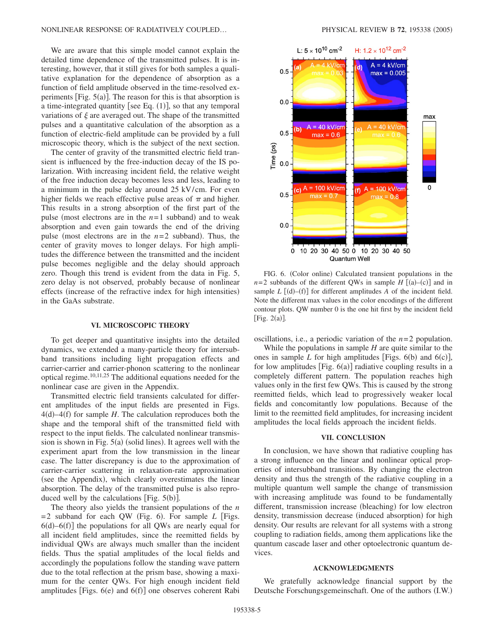We are aware that this simple model cannot explain the detailed time dependence of the transmitted pulses. It is interesting, however, that it still gives for both samples a qualitative explanation for the dependence of absorption as a function of field amplitude observed in the time-resolved experiments  $[Fig. 5(a)]$ . The reason for this is that absorption is a time-integrated quantity [see Eq.  $(1)$ ], so that any temporal variations of  $\xi$  are averaged out. The shape of the transmitted pulses and a quantitative calculation of the absorption as a function of electric-field amplitude can be provided by a full microscopic theory, which is the subject of the next section.

The center of gravity of the transmitted electric field transient is influenced by the free-induction decay of the IS polarization. With increasing incident field, the relative weight of the free induction decay becomes less and less, leading to a minimum in the pulse delay around 25 kV/cm. For even higher fields we reach effective pulse areas of  $\pi$  and higher. This results in a strong absorption of the first part of the pulse (most electrons are in the  $n=1$  subband) and to weak absorption and even gain towards the end of the driving pulse (most electrons are in the  $n=2$  subband). Thus, the center of gravity moves to longer delays. For high amplitudes the difference between the transmitted and the incident pulse becomes negligible and the delay should approach zero. Though this trend is evident from the data in Fig. 5, zero delay is not observed, probably because of nonlinear effects (increase of the refractive index for high intensities) in the GaAs substrate.

#### **VI. MICROSCOPIC THEORY**

To get deeper and quantitative insights into the detailed dynamics, we extended a many-particle theory for intersubband transitions including light propagation effects and carrier-carrier and carrier-phonon scattering to the nonlinear optical regime.10,11,25 The additional equations needed for the nonlinear case are given in the Appendix.

Transmitted electric field transients calculated for different amplitudes of the input fields are presented in Figs.  $4(d) - 4(f)$  for sample *H*. The calculation reproduces both the shape and the temporal shift of the transmitted field with respect to the input fields. The calculated nonlinear transmission is shown in Fig.  $5(a)$  (solid lines). It agrees well with the experiment apart from the low transmission in the linear case. The latter discrepancy is due to the approximation of carrier-carrier scattering in relaxation-rate approximation (see the Appendix), which clearly overestimates the linear absorption. The delay of the transmitted pulse is also reproduced well by the calculations [Fig.  $5(b)$ ].

The theory also yields the transient populations of the *n*  $=$  2 subband for each QW (Fig. 6). For sample *L* [Figs.  $6(d) - 6(f)$ ] the populations for all QWs are nearly equal for all incident field amplitudes, since the reemitted fields by individual QWs are always much smaller than the incident fields. Thus the spatial amplitudes of the local fields and accordingly the populations follow the standing wave pattern due to the total reflection at the prism base, showing a maximum for the center QWs. For high enough incident field amplitudes [Figs. 6(e) and 6(f)] one observes coherent Rabi



FIG. 6. (Color online) Calculated transient populations in the  $n=2$  subbands of the different QWs in sample *H* [(a)–(c)] and in sample  $L$   $[(d)–(f)]$  for different amplitudes  $A$  of the incident field. Note the different max values in the color encodings of the different contour plots. QW number 0 is the one hit first by the incident field [Fig.  $2(a)$ ].

oscillations, i.e., a periodic variation of the *n*=2 population.

While the populations in sample *H* are quite similar to the ones in sample  $L$  for high amplitudes [Figs. 6(b) and  $6(c)$ ], for low amplitudes [Fig.  $6(a)$ ] radiative coupling results in a completely different pattern. The population reaches high values only in the first few QWs. This is caused by the strong reemitted fields, which lead to progressively weaker local fields and concomitantly low populations. Because of the limit to the reemitted field amplitudes, for increasing incident amplitudes the local fields approach the incident fields.

#### **VII. CONCLUSION**

In conclusion, we have shown that radiative coupling has a strong influence on the linear and nonlinear optical properties of intersubband transitions. By changing the electron density and thus the strength of the radiative coupling in a multiple quantum well sample the change of transmission with increasing amplitude was found to be fundamentally different, transmission increase (bleaching) for low electron density, transmission decrease (induced absorption) for high density. Our results are relevant for all systems with a strong coupling to radiation fields, among them applications like the quantum cascade laser and other optoelectronic quantum devices.

#### **ACKNOWLEDGMENTS**

We gratefully acknowledge financial support by the Deutsche Forschungsgemeinschaft. One of the authors (I.W.)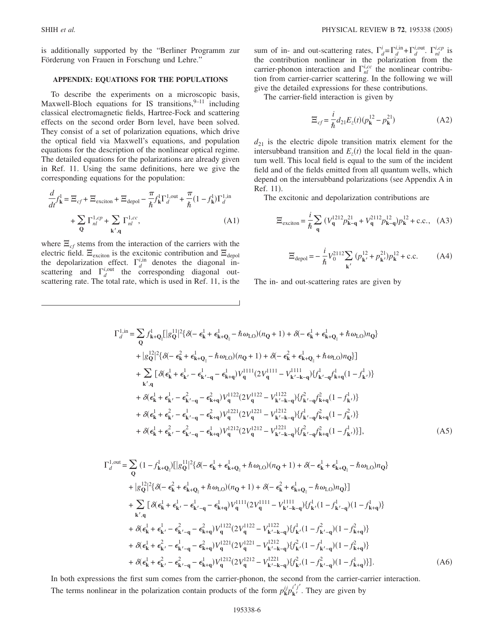is additionally supported by the "Berliner Programm zur Förderung von Frauen in Forschung und Lehre.'

# **APPENDIX: EQUATIONS FOR THE POPULATIONS**

To describe the experiments on a microscopic basis, Maxwell-Bloch equations for IS transitions,  $9-11$  including classical electromagnetic fields, Hartree-Fock and scattering effects on the second order Born level, have been solved. They consist of a set of polarization equations, which drive the optical field via Maxwell's equations, and population equations for the description of the nonlinear optical regime. The detailed equations for the polarizations are already given in Ref. 11. Using the same definitions, here we give the corresponding equations for the population:

$$
\frac{d}{dt}f_{\mathbf{k}}^1 = \Xi_{cf} + \Xi_{\text{exciton}} + \Xi_{\text{depol}} - \frac{\pi}{\hbar}f_{\mathbf{k}}^1 \Gamma_d^{1,\text{out}} + \frac{\pi}{\hbar} (1 - f_{\mathbf{k}}^1) \Gamma_d^{1,\text{in}} + \sum_{\mathbf{Q}} \Gamma_{nl}^{1,cp} + \sum_{\mathbf{k}',\mathbf{q}} \Gamma_{nl}^{1,cc},
$$
\n(A1)

where  $\Xi_{cf}$  stems from the interaction of the carriers with the electric field.  $\Xi_{\text{exciton}}$  is the excitonic contribution and  $\Xi_{\text{depol}}$ the depolarization effect.  $\Gamma_d^{i,in}$  denotes the diagonal inscattering and  $\Gamma_d^{i,out}$  the corresponding diagonal outscattering rate. The total rate, which is used in Ref. 11, is the

sum of in- and out-scattering rates,  $\Gamma_d^i = \Gamma_d^{i, \text{in}} + \Gamma_d^{i, \text{out}}$ .  $\Gamma_n^{i, cp}$  is the contribution nonlinear in the polarization from the carrier-phonon interaction and  $\Gamma_{nl}^{i,cc}$  the nonlinear contribution from carrier-carrier scattering. In the following we will give the detailed expressions for these contributions.

The carrier-field interaction is given by

$$
\Xi_{cf} = \frac{i}{\hbar} d_{21} E_z(t) (p_{\mathbf{k}}^{12} - p_{\mathbf{k}}^{21})
$$
 (A2)

 $d_{21}$  is the electric dipole transition matrix element for the intersubband transition and  $E_z(t)$  the local field in the quantum well. This local field is equal to the sum of the incident field and of the fields emitted from all quantum wells, which depend on the intersubband polarizations (see Appendix A in Ref. 11).

The excitonic and depolarization contributions are

$$
\Xi_{\text{exciton}} = \frac{i}{\hbar} \sum_{\mathbf{q}} \left( V_{\mathbf{q}}^{1212} p_{\mathbf{k}-\mathbf{q}}^{21} + V_{\mathbf{q}}^{2112} p_{\mathbf{k}-\mathbf{q}}^{12} \right) p_{\mathbf{k}}^{12} + \text{c.c.}, \quad (A3)
$$

$$
\Xi_{\text{depol}} = -\frac{i}{\hbar} V_0^{2112} \sum_{\mathbf{k}'} (p_{\mathbf{k}'}^{12} + p_{\mathbf{k}'}^{21}) p_{\mathbf{k}}^{12} + \text{c.c.}
$$
 (A4)

The in- and out-scattering rates are given by

$$
\Gamma_{d}^{1,\text{in}} = \sum_{\mathbf{Q}} f_{\mathbf{k}+\mathbf{Q}_{\parallel}}^{1} [g_{\mathbf{Q}}^{11}]^{2} \{ \delta(-\epsilon_{\mathbf{k}}^{1} + \epsilon_{\mathbf{k}+\mathbf{Q}_{\parallel}}^{1} - \hbar \omega_{\text{LO}}) (n_{\mathbf{Q}} + 1) + \delta(-\epsilon_{\mathbf{k}}^{1} + \epsilon_{\mathbf{k}+\mathbf{Q}_{\parallel}}^{1} + \hbar \omega_{\text{LO}}) n_{\mathbf{Q}} \} \n+ |g_{\mathbf{Q}}^{12}|^{2} \{ \delta(-\epsilon_{\mathbf{k}}^{2} + \epsilon_{\mathbf{k}+\mathbf{Q}_{\parallel}}^{1} - \hbar \omega_{\text{LO}}) (n_{\mathbf{Q}} + 1) + \delta(-\epsilon_{\mathbf{k}}^{2} + \epsilon_{\mathbf{k}+\mathbf{Q}_{\parallel}}^{1} + \hbar \omega_{\text{LO}}) n_{\mathbf{Q}} \} ] \n+ \sum_{\mathbf{k}',\mathbf{q}} [\delta(\epsilon_{\mathbf{k}}^{1} + \epsilon_{\mathbf{k}'}^{1} - \epsilon_{\mathbf{k}'-\mathbf{q}}^{1} - \epsilon_{\mathbf{k}+\mathbf{q}}^{1}) V_{\mathbf{q}}^{1111} (2V_{\mathbf{q}}^{1111} - V_{\mathbf{k}'-\mathbf{k}-\mathbf{q}}^{1111}) \{ f_{\mathbf{k}'-\mathbf{q}}^{1} f_{\mathbf{k}+\mathbf{q}}^{1} (1 - f_{\mathbf{k}'}^{1}) \} \n+ \delta(\epsilon_{\mathbf{k}}^{1} + \epsilon_{\mathbf{k}'}^{1} - \epsilon_{\mathbf{k}'-\mathbf{q}}^{2} - \epsilon_{\mathbf{k}+\mathbf{q}}^{2}) V_{\mathbf{q}}^{1122} (2V_{\mathbf{q}}^{1122} - V_{\mathbf{k}'-\mathbf{k}-\mathbf{q}}^{1122}) \{ f_{\mathbf{k}'-\mathbf{q}}^{2} f_{\mathbf{k}+\mathbf{q}}^{2} (1 - f_{\mathbf{k}'}^{1}) \} \n+ \delta(\epsilon_{\mathbf{k}}^{1} + \epsilon_{\mathbf{k}'}^{2} - \epsilon_{\mathbf{k}'-\mathbf{q}}^{1} - \epsilon_{\mathbf{k}+\mathbf{q}}^{2}) V_{\mathbf{q}}^{122
$$

$$
\Gamma_{d}^{1,out} = \sum_{Q} (1 - f_{k+Q_{\parallel}}^{1}) \left[ |g_{Q}^{11}|^{2} \{ \delta(-\epsilon_{k}^{1} + \epsilon_{k+Q_{\parallel}}^{1} + \hbar \omega_{LO})(n_{Q} + 1) + \delta(-\epsilon_{k}^{1} + \epsilon_{k+Q_{\parallel}}^{1} - \hbar \omega_{LO})n_{Q} \} \right. \n+ |g_{Q}^{12}|^{2} \{ \delta(-\epsilon_{k}^{2} + \epsilon_{k+Q_{\parallel}}^{1} + \hbar \omega_{LO})(n_{Q} + 1) + \delta(-\epsilon_{k}^{2} + \epsilon_{k+Q_{\parallel}}^{1} - \hbar \omega_{LO})n_{Q} \} ] \n+ \sum_{k',q} [\delta(\epsilon_{k}^{1} + \epsilon_{k'}^{1} - \epsilon_{k'-q}^{1} - \epsilon_{k+q}^{1}) V_{q}^{1111} (2V_{q}^{1111} - V_{k'-k-q}^{1111}) \{ f_{k'}^{1}(1 - f_{k'-q}^{1})(1 - f_{k+q}^{1}) \} \n+ \delta(\epsilon_{k}^{1} + \epsilon_{k'}^{1} - \epsilon_{k'-q}^{2} - \epsilon_{k+q}^{2}) V_{q}^{1122} (2V_{q}^{1122} - V_{k'-k-q}^{1122}) \{ f_{k'}^{1}(1 - f_{k'-q}^{2})(1 - f_{k+q}^{2}) \} \n+ \delta(\epsilon_{k}^{1} + \epsilon_{k'}^{2} - \epsilon_{k'-q}^{1} - \epsilon_{k+q}^{2}) V_{q}^{1221} (2V_{q}^{1221} - V_{k'-k-q}^{1212}) \{ f_{k'}^{2}(1 - f_{k'-q}^{1})(1 - f_{k+q}^{2}) \} \n+ \delta(\epsilon_{k}^{1} + \epsilon_{k'}^{2} - \epsilon_{k'-q}^{2} - \epsilon_{k+q}^{1}) V_{q}^{1212} (2V_{q}^{1212} - V_{k'-k-q}^{1221}) \{ f_{k'}^{2}(1 - f_{k'-q}^{2})(1 - f_{k+q}^{1}) \} .
$$
\n(A6)

In both expressions the first sum comes from the carrier-phonon, the second from the carrier-carrier interaction. The terms nonlinear in the polarization contain products of the form  $p_{\bf k}^{ij} p_{\bf k'}^{i'j'}$ . They are given by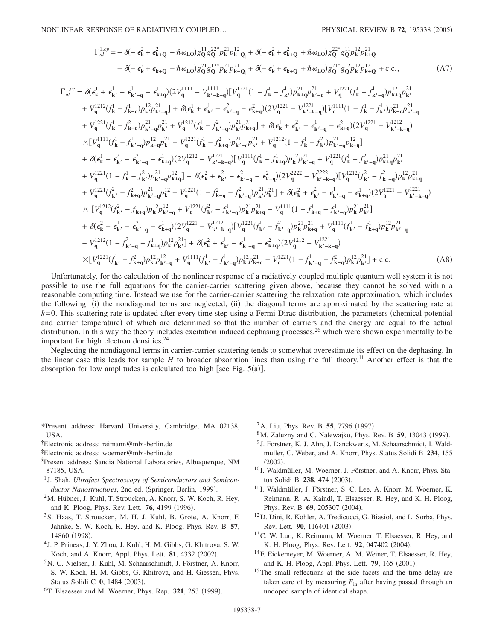$$
\Gamma_{nl}^{1,cp} = -\delta(-\epsilon_{\mathbf{k}}^2 + \epsilon_{\mathbf{k}+\mathbf{Q}_{\parallel}}^2 - \hbar \omega_{\mathbf{LO}})g_{\mathbf{Q}}^{11}g_{\mathbf{Q}}^{22*}p_{\mathbf{k}}^{21}p_{\mathbf{k}+\mathbf{Q}_{\parallel}}^{12} + \delta(-\epsilon_{\mathbf{k}}^2 + \epsilon_{\mathbf{k}+\mathbf{Q}_{\parallel}}^2 + \hbar \omega_{\mathbf{LO}})g_{\mathbf{Q}}^{22*}g_{\mathbf{Q}}^{11}p_{\mathbf{k}}^{12}p_{\mathbf{k}+\mathbf{Q}_{\parallel}}^{21}
$$

$$
-\delta(-\epsilon_{\mathbf{k}}^2 + \epsilon_{\mathbf{k}+\mathbf{Q}_{\parallel}}^1 - \hbar \omega_{\mathbf{LO}})g_{\mathbf{Q}}^{21}g_{\mathbf{Q}}^{12*}p_{\mathbf{k}}^{21}p_{\mathbf{k}+\mathbf{Q}_{\parallel}}^{21} + \delta(-\epsilon_{\mathbf{k}}^2 + \epsilon_{\mathbf{k}+\mathbf{Q}_{\parallel}}^1 + \hbar \omega_{\mathbf{LO}})g_{\mathbf{Q}}^{21*}g_{\mathbf{Q}}^{12}p_{\mathbf{k}}^{12}p_{\mathbf{k}+\mathbf{Q}_{\parallel}}^{12} + \text{c.c.},\tag{A7}
$$

$$
\Gamma_{nl}^{1,cc} = \delta(\epsilon_{\mathbf{k}}^{l} + \epsilon_{\mathbf{k'}}^{l} - \epsilon_{\mathbf{k'+q}}^{l} - \epsilon_{\mathbf{k+q}}^{l} ) (2V_{q}^{1111} - V_{\mathbf{k'-k-q}}^{1111} ) [\Gamma_{1}^{1221}(1 - f_{\mathbf{k}}^{l} - f_{\mathbf{k'}}^{l} ) \rho_{\mathbf{k+q}}^{2l} \rho_{\mathbf{k'-q}}^{2l} + V_{q}^{1221}(f_{\mathbf{k}}^{l} - f_{\mathbf{k'-q}}^{l} ) \rho_{\mathbf{k+q}}^{2l} \rho_{\mathbf{k'}}^{2l} + V_{q}^{1212}(f_{\mathbf{k}}^{l} - f_{\mathbf{k+q}}^{l} ) \rho_{\mathbf{k'}}^{2l} \rho_{\mathbf{k'-q}}^{2l} + V_{q}^{1212}(f_{\mathbf{k}}^{l} - f_{\mathbf{k+q}}^{l} ) \rho_{\mathbf{k'}}^{2l} \rho_{\mathbf{k'-q}}^{2l} - \epsilon_{\mathbf{k+q}}^{2l} ) [\mathbf{V}_{q}^{111}(1 - f_{\mathbf{k}}^{l} - f_{\mathbf{k'}}^{l} ) \rho_{\mathbf{k+q}}^{2l} \rho_{\mathbf{k'-q}}^{2l} + V_{q}^{1212}(f_{\mathbf{k}}^{l} - f_{\mathbf{k'+q}}^{2l} ) \rho_{\mathbf{k'-q}}^{2l} \rho_{\mathbf{k'}}^{2l} + V_{q}^{1212}(f_{\mathbf{k}}^{l} - f_{\mathbf{k'-q}}^{2l} ) \rho_{\mathbf{k'}}^{2l} \rho_{\mathbf{k+q}}^{2l} ] - \epsilon_{\mathbf{k'-q}}^{l} - \epsilon_{\mathbf{k'-q}}^{l} - \epsilon_{\mathbf{k'-q}}^{l} ) (2V_{q}^{121} - V_{\mathbf{k'-k-q}}^{1212} )
$$
\n
$$
\times [V_{q}^{1111}(f_{\mathbf{k}}^{l} - f_{\mathbf{k'-q}}^{l} ) \rho_{\mathbf{k+q}}^{2l} \rho_{\mathbf{k'}}^{2l} + V_{q}^{1212}(f_{\mathbf{k}}^{l} - f_{\mathbf{k+q}}^{2l} ) \rho_{\mathbf{k'-q}}^{2l} \rho_{\mathbf{k'}}^{2l} + V_{q}^{1
$$

Unfortunately, for the calculation of the nonlinear response of a radiatively coupled multiple quantum well system it is not possible to use the full equations for the carrier-carrier scattering given above, because they cannot be solved within a reasonable computing time. Instead we use for the carrier-carrier scattering the relaxation rate approximation, which includes the following: (i) the nondiagonal terms are neglected, (ii) the diagonal terms are approximated by the scattering rate at  $k=0$ . This scattering rate is updated after every time step using a Fermi-Dirac distribution, the parameters (chemical potential and carrier temperature) of which are determined so that the number of carriers and the energy are equal to the actual distribution. In this way the theory includes excitation induced dephasing processes,  $^{26}$  which were shown experimentally to be important for high electron densities.<sup>24</sup>

Neglecting the nondiagonal terms in carrier-carrier scattering tends to somewhat overestimate its effect on the dephasing. In the linear case this leads for sample *H* to broader absorption lines than using the full theory.11 Another effect is that the absorption for low amplitudes is calculated too high [see Fig.  $5(a)$ ].

- \*Present address: Harvard University, Cambridge, MA 02138, USA.
- † Electronic address: reimann@mbi-berlin.de
- ‡Electronic address: woerner@mbi-berlin.de
- §Present address: Sandia National Laboratories, Albuquerque, NM 87185, USA.
- <sup>1</sup> J. Shah, *Ultrafast Spectroscopy of Semiconductors and Semicon*ductor Nanostructures, 2nd ed. (Springer, Berlin, 1999).
- 2M. Hübner, J. Kuhl, T. Stroucken, A. Knorr, S. W. Koch, R. Hey, and K. Ploog, Phys. Rev. Lett. **76**, 4199 (1996).
- 3S. Haas, T. Stroucken, M. H. J. Kuhl, B. Grote, A. Knorr, F. Jahnke, S. W. Koch, R. Hey, and K. Ploog, Phys. Rev. B **57**, 14860 (1998).
- <sup>4</sup> J. P. Prineas, J. Y. Zhou, J. Kuhl, H. M. Gibbs, G. Khitrova, S. W. Koch, and A. Knorr, Appl. Phys. Lett. **81**, 4332 (2002).
- 5N. C. Nielsen, J. Kuhl, M. Schaarschmidt, J. Förstner, A. Knorr, S. W. Koch, H. M. Gibbs, G. Khitrova, and H. Giessen, Phys. Status Solidi C 0, 1484 (2003).
- <sup>6</sup>T. Elsaesser and M. Woerner, Phys. Rep. 321, 253 (1999).

<sup>7</sup> A. Liu, Phys. Rev. B **55**, 7796 (1997).

- <sup>8</sup>M. Zaluzny and C. Nalewajko, Phys. Rev. B 59, 13043 (1999).
- <sup>9</sup> J. Förstner, K. J. Ahn, J. Danckwerts, M. Schaarschmidt, I. Waldmüller, C. Weber, and A. Knorr, Phys. Status Solidi B **234**, 155  $(2002).$
- <sup>10</sup> I. Waldmüller, M. Woerner, J. Förstner, and A. Knorr, Phys. Status Solidi B 238, 474 (2003).
- <sup>11</sup> I. Waldmüller, J. Förstner, S. C. Lee, A. Knorr, M. Woerner, K. Reimann, R. A. Kaindl, T. Elsaesser, R. Hey, and K. H. Ploog, Phys. Rev. B 69, 205307 (2004).
- 12D. Dini, R. Köhler, A. Tredicucci, G. Biasiol, and L. Sorba, Phys. Rev. Lett. 90, 116401 (2003).
- 13C. W. Luo, K. Reimann, M. Woerner, T. Elsaesser, R. Hey, and K. H. Ploog, Phys. Rev. Lett. 92, 047402 (2004).
- <sup>14</sup>F. Eickemeyer, M. Woerner, A. M. Weiner, T. Elsaesser, R. Hey, and K. H. Ploog, Appl. Phys. Lett. **79**, 165 (2001).
- <sup>15</sup>The small reflections at the side facets and the time delay are taken care of by measuring  $E_{\text{in}}$  after having passed through an undoped sample of identical shape.